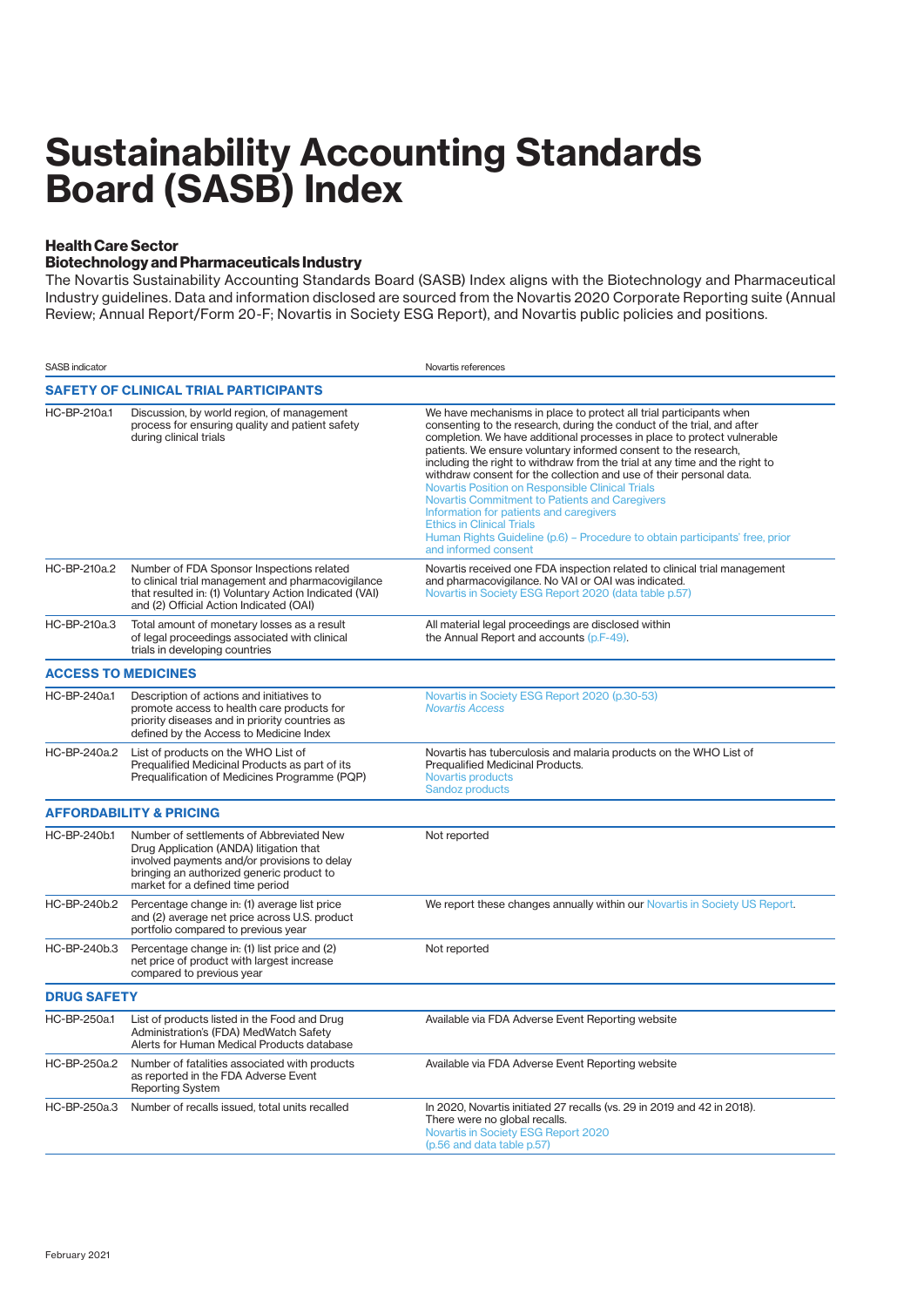## **Sustainability Accounting Standards Board (SASB) Index**

## **Health Care Sector**

## **Biotechnology and Pharmaceuticals Industry**

The Novartis Sustainability Accounting Standards Board (SASB) Index aligns with the Biotechnology and Pharmaceutical Industry guidelines. Data and information disclosed are sourced from the Novartis 2020 Corporate Reporting suite (Annual Review; Annual Report/Form 20-F; Novartis in Society ESG Report), and Novartis public policies and positions.

| <b>SASB</b> indicator                 |                                                                                                                                                                                                                      | Novartis references                                                                                                                                                                                                                                                                                                                                                                                                                                                                                                                                                                                                                                                                                                                                  |  |
|---------------------------------------|----------------------------------------------------------------------------------------------------------------------------------------------------------------------------------------------------------------------|------------------------------------------------------------------------------------------------------------------------------------------------------------------------------------------------------------------------------------------------------------------------------------------------------------------------------------------------------------------------------------------------------------------------------------------------------------------------------------------------------------------------------------------------------------------------------------------------------------------------------------------------------------------------------------------------------------------------------------------------------|--|
| SAFETY OF CLINICAL TRIAL PARTICIPANTS |                                                                                                                                                                                                                      |                                                                                                                                                                                                                                                                                                                                                                                                                                                                                                                                                                                                                                                                                                                                                      |  |
| HC-BP-210a.1                          | Discussion, by world region, of management<br>process for ensuring quality and patient safety<br>during clinical trials                                                                                              | We have mechanisms in place to protect all trial participants when<br>consenting to the research, during the conduct of the trial, and after<br>completion. We have additional processes in place to protect vulnerable<br>patients. We ensure voluntary informed consent to the research,<br>including the right to withdraw from the trial at any time and the right to<br>withdraw consent for the collection and use of their personal data.<br><b>Novartis Position on Responsible Clinical Trials</b><br>Novartis Commitment to Patients and Caregivers<br>Information for patients and caregivers<br><b>Ethics in Clinical Trials</b><br>Human Rights Guideline (p.6) - Procedure to obtain participants' free, prior<br>and informed consent |  |
| HC-BP-210a.2                          | Number of FDA Sponsor Inspections related<br>to clinical trial management and pharmacovigilance<br>that resulted in: (1) Voluntary Action Indicated (VAI)<br>and (2) Official Action Indicated (OAI)                 | Novartis received one FDA inspection related to clinical trial management<br>and pharmacovigilance. No VAI or OAI was indicated.<br>Novartis in Society ESG Report 2020 (data table p.57)                                                                                                                                                                                                                                                                                                                                                                                                                                                                                                                                                            |  |
| HC-BP-210a.3                          | Total amount of monetary losses as a result<br>of legal proceedings associated with clinical<br>trials in developing countries                                                                                       | All material legal proceedings are disclosed within<br>the Annual Report and accounts (p.F-49).                                                                                                                                                                                                                                                                                                                                                                                                                                                                                                                                                                                                                                                      |  |
| <b>ACCESS TO MEDICINES</b>            |                                                                                                                                                                                                                      |                                                                                                                                                                                                                                                                                                                                                                                                                                                                                                                                                                                                                                                                                                                                                      |  |
| HC-BP-240a.1                          | Description of actions and initiatives to<br>promote access to health care products for<br>priority diseases and in priority countries as<br>defined by the Access to Medicine Index                                 | Novartis in Society ESG Report 2020 (p.30-53)<br><b>Novartis Access</b>                                                                                                                                                                                                                                                                                                                                                                                                                                                                                                                                                                                                                                                                              |  |
| HC-BP-240a.2                          | List of products on the WHO List of<br>Pregualified Medicinal Products as part of its<br>Pregualification of Medicines Programme (PQP)                                                                               | Novartis has tuberculosis and malaria products on the WHO List of<br>Prequalified Medicinal Products.<br><b>Novartis products</b><br><b>Sandoz products</b>                                                                                                                                                                                                                                                                                                                                                                                                                                                                                                                                                                                          |  |
|                                       | <b>AFFORDABILITY &amp; PRICING</b>                                                                                                                                                                                   |                                                                                                                                                                                                                                                                                                                                                                                                                                                                                                                                                                                                                                                                                                                                                      |  |
| HC-BP-240b.1                          | Number of settlements of Abbreviated New<br>Drug Application (ANDA) litigation that<br>involved payments and/or provisions to delay<br>bringing an authorized generic product to<br>market for a defined time period | Not reported                                                                                                                                                                                                                                                                                                                                                                                                                                                                                                                                                                                                                                                                                                                                         |  |
| HC-BP-240b.2                          | Percentage change in: (1) average list price<br>and (2) average net price across U.S. product<br>portfolio compared to previous year                                                                                 | We report these changes annually within our Novartis in Society US Report.                                                                                                                                                                                                                                                                                                                                                                                                                                                                                                                                                                                                                                                                           |  |
| HC-BP-240b.3                          | Percentage change in: (1) list price and (2)<br>net price of product with largest increase<br>compared to previous year                                                                                              | Not reported                                                                                                                                                                                                                                                                                                                                                                                                                                                                                                                                                                                                                                                                                                                                         |  |
| <b>DRUG SAFETY</b>                    |                                                                                                                                                                                                                      |                                                                                                                                                                                                                                                                                                                                                                                                                                                                                                                                                                                                                                                                                                                                                      |  |
| HC-BP-250a.1                          | List of products listed in the Food and Drug<br>Administration's (FDA) MedWatch Safety<br>Alerts for Human Medical Products database                                                                                 | Available via FDA Adverse Event Reporting website                                                                                                                                                                                                                                                                                                                                                                                                                                                                                                                                                                                                                                                                                                    |  |
| HC-BP-250a.2                          | Number of fatalities associated with products<br>as reported in the FDA Adverse Event<br><b>Reporting System</b>                                                                                                     | Available via FDA Adverse Event Reporting website                                                                                                                                                                                                                                                                                                                                                                                                                                                                                                                                                                                                                                                                                                    |  |
| HC-BP-250a.3                          | Number of recalls issued, total units recalled                                                                                                                                                                       | In 2020, Novartis initiated 27 recalls (vs. 29 in 2019 and 42 in 2018).<br>There were no global recalls.<br>Novartis in Society ESG Report 2020<br>(p.56 and data table p.57)                                                                                                                                                                                                                                                                                                                                                                                                                                                                                                                                                                        |  |